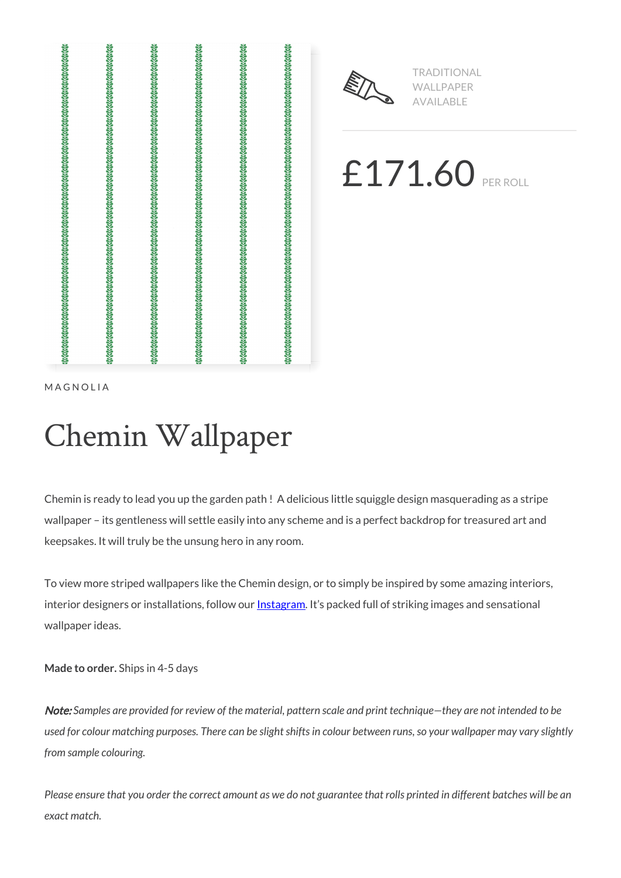



TRADITIONAL WALLPAPER AVAILABLE

£171.60 PER ROLL

MAGNOLIA

# Chemin Wallpaper

Chemin is ready to lead you up the garden path ! A delicious little squiggle design masquerading as a stripe wallpaper – its gentleness will settle easily into any scheme and is a perfect backdrop for treasured art and keepsakes. It will truly be the unsung hero in any room.

To view more striped wallpapers like the Chemin design, or to simply be inspired by some amazing interiors, interior designers or installations, follow our **Instagram**. It's packed full of striking images and sensational wallpaper ideas.

**Made to order.** Ships in 4-5 days

Note: *Samples are provided for review of the material, pattern scale and print technique—they are not intended to be used for colour matching purposes. There can be slight shifts in colour between runs, so your wallpaper may vary slightly from sample colouring.*

*Please ensure that you order the correct amount as we do not guarantee that rolls printed in different batches will be an exact match.*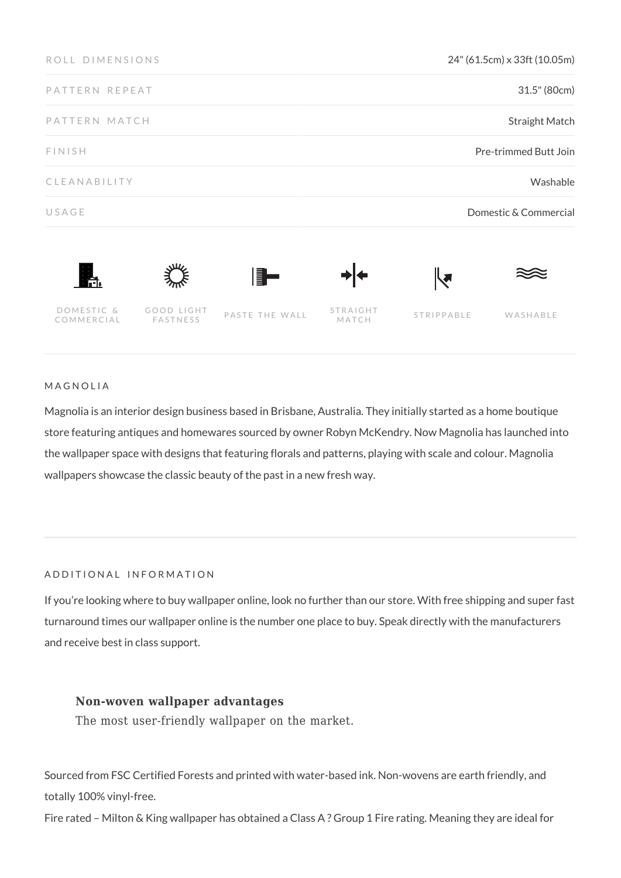| ROLL DIMENSIONS          |                               |                | 24" (61.5cm) x 33ft (10.05m) |                                |          |
|--------------------------|-------------------------------|----------------|------------------------------|--------------------------------|----------|
| PATTERN REPEAT           |                               |                | 31.5" (80cm)                 |                                |          |
| PATTERN MATCH            |                               |                | <b>Straight Match</b>        |                                |          |
| <b>FINISH</b>            |                               |                | Pre-trimmed Butt Join        |                                |          |
| CLEANABILITY             |                               |                | Washable                     |                                |          |
| USAGE                    |                               |                | Domestic & Commercial        |                                |          |
| L.                       |                               | ▌▋▅            |                              | $ \hspace{-.02in} \big\langle$ |          |
| DOMESTIC &<br>COMMERCIAL | GOOD LIGHT<br><b>FASTNESS</b> | PASTE THE WALL | STRAIGHT<br>MATCH            | STRIPPABLE                     | WASHABLE |

## MAGNOLIA

Magnolia is an interior design business based in Brisbane, Australia. They initially started as a home boutique store featuring antiques and homewares sourced by owner Robyn McKendry. Now Magnolia has launched into the wallpaper space with designs that featuring florals and patterns, playing with scale and colour. Magnolia wallpapers showcase the classic beauty of the past in a new fresh way.

## ADDITIONAL INFORMATION

If you're looking where to buy wallpaper online, look no further than our store. With free shipping and super fast turnaround times our wallpaper online is the number one place to buy. Speak directly with the manufacturers and receive best in class support.

# **Non-woven wallpaper advantages**

The most user-friendly wallpaper on the market.

Sourced from FSC Certified Forests and printed with water-based ink. Non-wovens are earth friendly, and totally 100% vinyl-free.

Fire rated – Milton & King wallpaper has obtained a Class A ? Group 1 Fire rating. Meaning they are ideal for